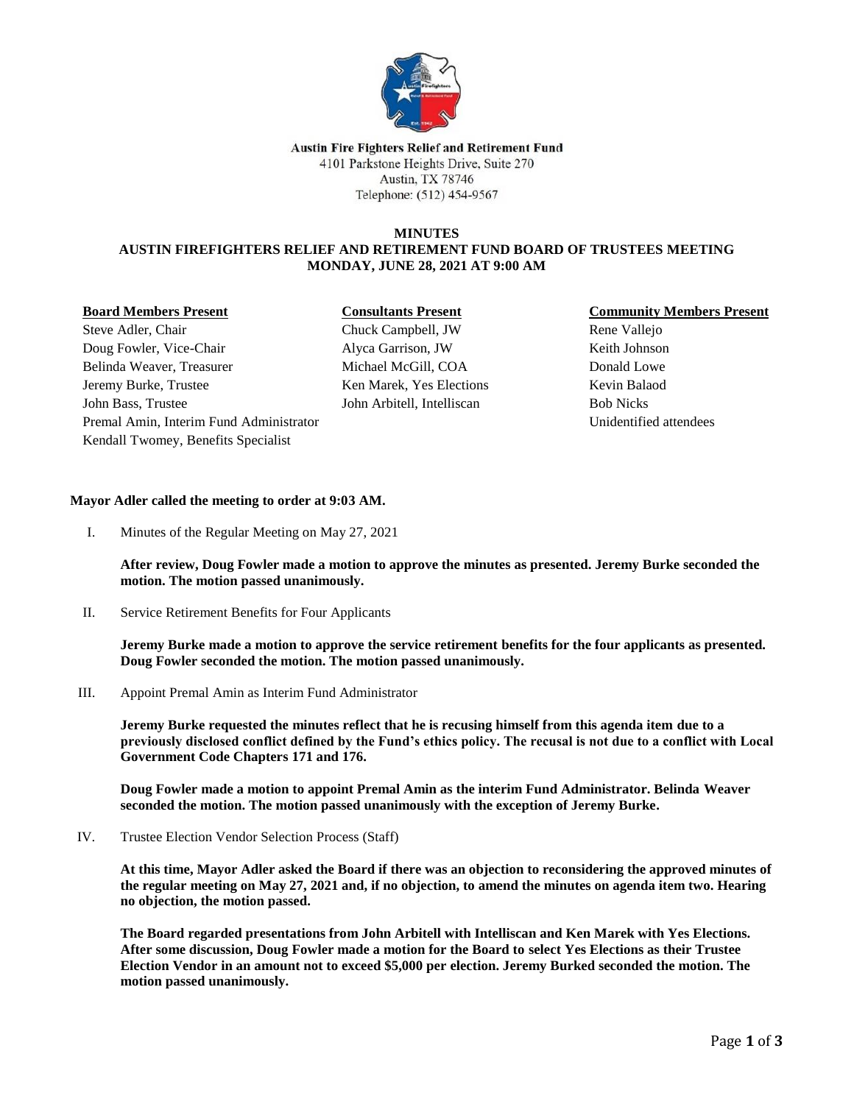

#### **Austin Fire Fighters Relief and Retirement Fund** 4101 Parkstone Heights Drive, Suite 270 Austin, TX 78746 Telephone: (512) 454-9567

## **MINUTES AUSTIN FIREFIGHTERS RELIEF AND RETIREMENT FUND BOARD OF TRUSTEES MEETING MONDAY, JUNE 28, 2021 AT 9:00 AM**

#### **Board Members Present**

# **Consultants Present**

Steve Adler, Chair Doug Fowler, Vice-Chair Belinda Weaver, Treasurer Jeremy Burke, Trustee John Bass, Trustee Premal Amin, Interim Fund Administrator Kendall Twomey, Benefits Specialist

Chuck Campbell, JW Alyca Garrison, JW Michael McGill, COA Ken Marek, Yes Elections John Arbitell, Intelliscan

# **Community Members Present**

Rene Vallejo Keith Johnson Donald Lowe Kevin Balaod Bob Nicks Unidentified attendees

## **Mayor Adler called the meeting to order at 9:03 AM.**

I. Minutes of the Regular Meeting on May 27, 2021

**After review, Doug Fowler made a motion to approve the minutes as presented. Jeremy Burke seconded the motion. The motion passed unanimously.**

II. Service Retirement Benefits for Four Applicants

**Jeremy Burke made a motion to approve the service retirement benefits for the four applicants as presented. Doug Fowler seconded the motion. The motion passed unanimously.**

III. Appoint Premal Amin as Interim Fund Administrator

**Jeremy Burke requested the minutes reflect that he is recusing himself from this agenda item due to a previously disclosed conflict defined by the Fund's ethics policy. The recusal is not due to a conflict with Local Government Code Chapters 171 and 176.** 

**Doug Fowler made a motion to appoint Premal Amin as the interim Fund Administrator. Belinda Weaver seconded the motion. The motion passed unanimously with the exception of Jeremy Burke.** 

IV. Trustee Election Vendor Selection Process (Staff)

**At this time, Mayor Adler asked the Board if there was an objection to reconsidering the approved minutes of the regular meeting on May 27, 2021 and, if no objection, to amend the minutes on agenda item two. Hearing no objection, the motion passed.** 

**The Board regarded presentations from John Arbitell with Intelliscan and Ken Marek with Yes Elections. After some discussion, Doug Fowler made a motion for the Board to select Yes Elections as their Trustee Election Vendor in an amount not to exceed \$5,000 per election. Jeremy Burked seconded the motion. The motion passed unanimously.**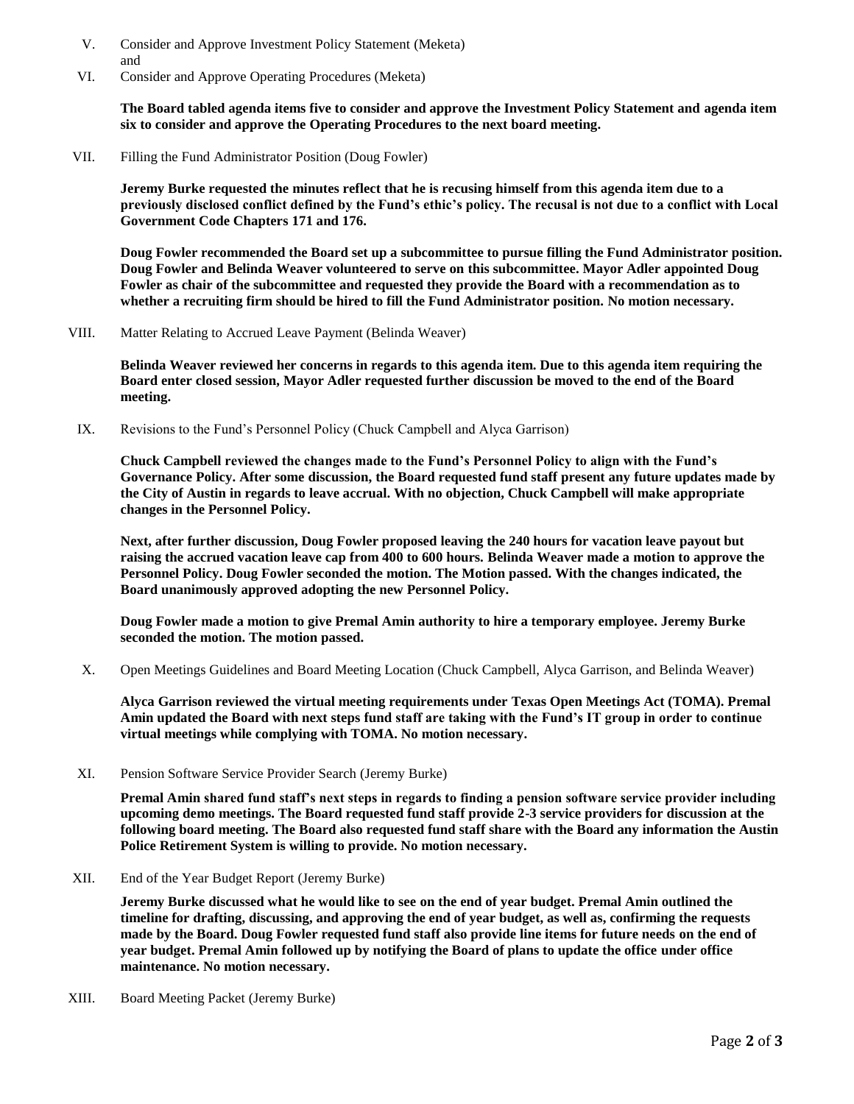- V. Consider and Approve Investment Policy Statement (Meketa) and
- VI. Consider and Approve Operating Procedures (Meketa)

**The Board tabled agenda items five to consider and approve the Investment Policy Statement and agenda item six to consider and approve the Operating Procedures to the next board meeting.** 

VII. Filling the Fund Administrator Position (Doug Fowler)

**Jeremy Burke requested the minutes reflect that he is recusing himself from this agenda item due to a previously disclosed conflict defined by the Fund's ethic's policy. The recusal is not due to a conflict with Local Government Code Chapters 171 and 176.** 

**Doug Fowler recommended the Board set up a subcommittee to pursue filling the Fund Administrator position. Doug Fowler and Belinda Weaver volunteered to serve on this subcommittee. Mayor Adler appointed Doug Fowler as chair of the subcommittee and requested they provide the Board with a recommendation as to whether a recruiting firm should be hired to fill the Fund Administrator position. No motion necessary.**

VIII. Matter Relating to Accrued Leave Payment (Belinda Weaver)

**Belinda Weaver reviewed her concerns in regards to this agenda item. Due to this agenda item requiring the Board enter closed session, Mayor Adler requested further discussion be moved to the end of the Board meeting.** 

IX. Revisions to the Fund's Personnel Policy (Chuck Campbell and Alyca Garrison)

**Chuck Campbell reviewed the changes made to the Fund's Personnel Policy to align with the Fund's Governance Policy. After some discussion, the Board requested fund staff present any future updates made by the City of Austin in regards to leave accrual. With no objection, Chuck Campbell will make appropriate changes in the Personnel Policy.** 

**Next, after further discussion, Doug Fowler proposed leaving the 240 hours for vacation leave payout but raising the accrued vacation leave cap from 400 to 600 hours. Belinda Weaver made a motion to approve the Personnel Policy. Doug Fowler seconded the motion. The Motion passed. With the changes indicated, the Board unanimously approved adopting the new Personnel Policy.** 

**Doug Fowler made a motion to give Premal Amin authority to hire a temporary employee. Jeremy Burke seconded the motion. The motion passed.** 

X. Open Meetings Guidelines and Board Meeting Location (Chuck Campbell, Alyca Garrison, and Belinda Weaver)

**Alyca Garrison reviewed the virtual meeting requirements under Texas Open Meetings Act (TOMA). Premal Amin updated the Board with next steps fund staff are taking with the Fund's IT group in order to continue virtual meetings while complying with TOMA. No motion necessary.** 

XI. Pension Software Service Provider Search (Jeremy Burke)

**Premal Amin shared fund staff's next steps in regards to finding a pension software service provider including upcoming demo meetings. The Board requested fund staff provide 2-3 service providers for discussion at the following board meeting. The Board also requested fund staff share with the Board any information the Austin Police Retirement System is willing to provide. No motion necessary.**

XII. End of the Year Budget Report (Jeremy Burke)

**Jeremy Burke discussed what he would like to see on the end of year budget. Premal Amin outlined the timeline for drafting, discussing, and approving the end of year budget, as well as, confirming the requests made by the Board. Doug Fowler requested fund staff also provide line items for future needs on the end of year budget. Premal Amin followed up by notifying the Board of plans to update the office under office maintenance. No motion necessary.**

XIII. Board Meeting Packet (Jeremy Burke)